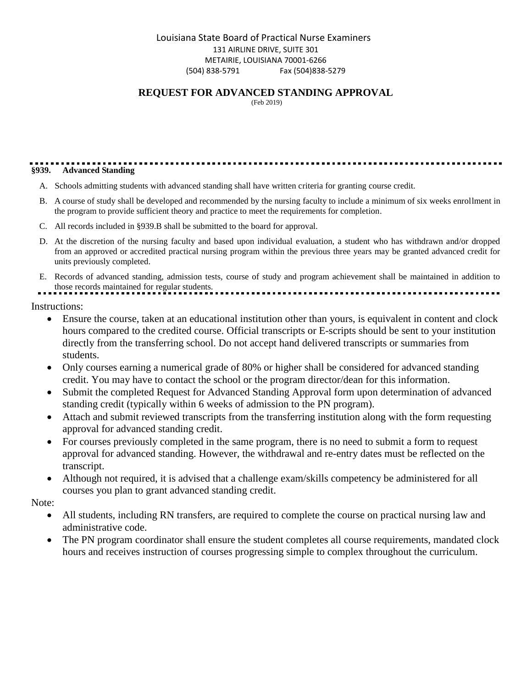## **REQUEST FOR ADVANCED STANDING APPROVAL**

(Feb 2019)

# **§939. Advanced Standing**

- A. Schools admitting students with advanced standing shall have written criteria for granting course credit.
- B. A course of study shall be developed and recommended by the nursing faculty to include a minimum of six weeks enrollment in the program to provide sufficient theory and practice to meet the requirements for completion.
- C. All records included in §939.B shall be submitted to the board for approval.
- D. At the discretion of the nursing faculty and based upon individual evaluation, a student who has withdrawn and/or dropped from an approved or accredited practical nursing program within the previous three years may be granted advanced credit for units previously completed.
- E. Records of advanced standing, admission tests, course of study and program achievement shall be maintained in addition to those records maintained for regular students.

Instructions:

- Ensure the course, taken at an educational institution other than yours, is equivalent in content and clock hours compared to the credited course. Official transcripts or E-scripts should be sent to your institution directly from the transferring school. Do not accept hand delivered transcripts or summaries from students.
- Only courses earning a numerical grade of 80% or higher shall be considered for advanced standing credit. You may have to contact the school or the program director/dean for this information.
- Submit the completed Request for Advanced Standing Approval form upon determination of advanced standing credit (typically within 6 weeks of admission to the PN program).
- Attach and submit reviewed transcripts from the transferring institution along with the form requesting approval for advanced standing credit.
- For courses previously completed in the same program, there is no need to submit a form to request approval for advanced standing. However, the withdrawal and re-entry dates must be reflected on the transcript.
- Although not required, it is advised that a challenge exam/skills competency be administered for all courses you plan to grant advanced standing credit.

Note:

- All students, including RN transfers, are required to complete the course on practical nursing law and administrative code.
- The PN program coordinator shall ensure the student completes all course requirements, mandated clock hours and receives instruction of courses progressing simple to complex throughout the curriculum.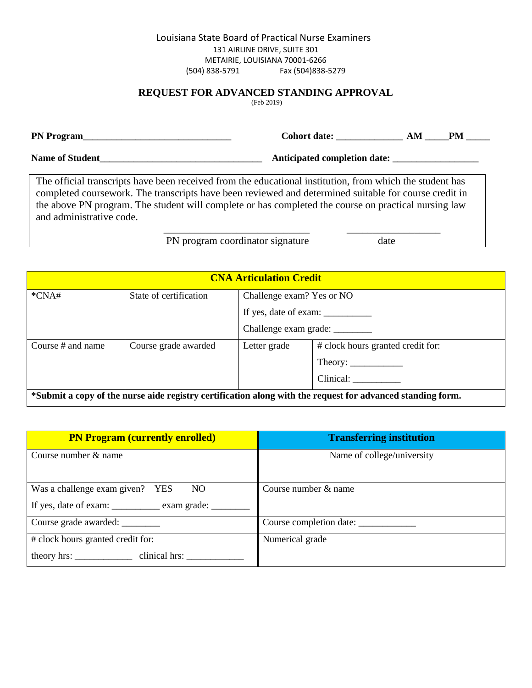## **REQUEST FOR ADVANCED STANDING APPROVAL**

(Feb 2019)

|                                                                                                                                                                                                                    | Cohort date:                 | AM | <b>PM</b> |
|--------------------------------------------------------------------------------------------------------------------------------------------------------------------------------------------------------------------|------------------------------|----|-----------|
| <b>Name of Student</b>                                                                                                                                                                                             | Anticipated completion date: |    |           |
| The official transcripts have been received from the educational institution, from which the student has<br>completed course work. The transcripts have been reviewed and determined suitable for course credit in |                              |    |           |
| the above PN program. The student will complete or has completed the course on practical nursing law<br>and administrative code.                                                                                   |                              |    |           |

 $\overline{\phantom{a}}$  ,  $\overline{\phantom{a}}$  ,  $\overline{\phantom{a}}$  ,  $\overline{\phantom{a}}$  ,  $\overline{\phantom{a}}$  ,  $\overline{\phantom{a}}$  ,  $\overline{\phantom{a}}$  ,  $\overline{\phantom{a}}$  ,  $\overline{\phantom{a}}$  ,  $\overline{\phantom{a}}$  ,  $\overline{\phantom{a}}$  ,  $\overline{\phantom{a}}$  ,  $\overline{\phantom{a}}$  ,  $\overline{\phantom{a}}$  ,  $\overline{\phantom{a}}$  ,  $\overline{\phantom{a}}$ PN program coordinator signature date

| <b>CNA Articulation Credit</b>                                                                             |                        |                                 |                                        |
|------------------------------------------------------------------------------------------------------------|------------------------|---------------------------------|----------------------------------------|
| $*CNA#$                                                                                                    | State of certification | Challenge exam? Yes or NO       |                                        |
|                                                                                                            |                        |                                 |                                        |
|                                                                                                            |                        | Challenge exam grade: _________ |                                        |
| Course $#$ and name                                                                                        | Course grade awarded   | Letter grade                    | # clock hours granted credit for:      |
|                                                                                                            |                        |                                 | Theory: $\_\_\_\_\_\_\_\_\_\_\_\_\_\_$ |
|                                                                                                            |                        |                                 | Clinical:                              |
| *Submit a copy of the nurse aide registry certification along with the request for advanced standing form. |                        |                                 |                                        |

| <b>PN Program (currently enrolled)</b>             | <b>Transferring institution</b> |
|----------------------------------------------------|---------------------------------|
| Course number & name                               | Name of college/university      |
|                                                    |                                 |
| Was a challenge exam given? YES NO                 | Course number & name            |
| If yes, date of exam: _________ exam grade: ______ |                                 |
| Course grade awarded: _________                    | Course completion date:         |
| # clock hours granted credit for:                  | Numerical grade                 |
| theory hrs: clinical hrs:                          |                                 |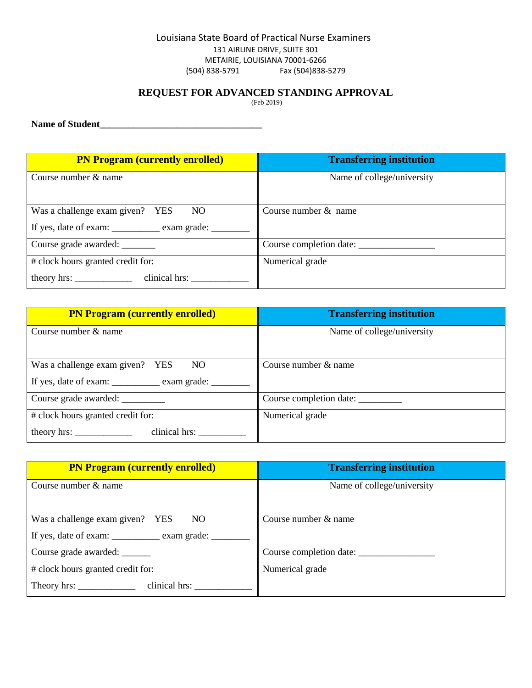## **REQUEST FOR ADVANCED STANDING APPROVAL**

(Feb 2019)

**Name of Student\_\_\_\_\_\_\_\_\_\_\_\_\_\_\_\_\_\_\_\_\_\_\_\_\_\_\_\_\_\_\_\_\_\_** 

| <b>PN Program (currently enrolled)</b>                                                          | <b>Transferring institution</b> |
|-------------------------------------------------------------------------------------------------|---------------------------------|
| Course number $\&$ name                                                                         | Name of college/university      |
| Was a challenge exam given? YES NO<br>If yes, date of exam: <u>_________</u> exam grade: ______ | Course number $&$ name          |
| Course grade awarded: _______                                                                   |                                 |
| # clock hours granted credit for:<br>theory hrs: clinical hrs:                                  | Numerical grade                 |

| <b>PN Program (currently enrolled)</b>                                                            | <b>Transferring institution</b> |
|---------------------------------------------------------------------------------------------------|---------------------------------|
| Course number & name                                                                              | Name of college/university      |
| Was a challenge exam given? YES NO<br>If yes, date of exam: <u>_________</u> exam grade: ________ | Course number & name            |
| Course grade awarded: _________                                                                   | Course completion date:         |
| # clock hours granted credit for:                                                                 | Numerical grade                 |
| clinical hrs:<br>theory hrs: $\frac{1}{\sqrt{1-\frac{1}{2}} \cdot \frac{1}{2}}$                   |                                 |

| <b>PN Program (currently enrolled)</b>                                          | <b>Transferring institution</b> |
|---------------------------------------------------------------------------------|---------------------------------|
| Course number $\&$ name                                                         | Name of college/university      |
|                                                                                 |                                 |
| Was a challenge exam given? YES NO                                              | Course number & name            |
| If yes, date of exam: _________ exam grade: _____                               |                                 |
| Course grade awarded: _______                                                   | Course completion date:         |
| # clock hours granted credit for:                                               | Numerical grade                 |
| clinical hrs:<br>Theory hrs: $\frac{1}{\sqrt{1-\frac{1}{2}} \cdot \frac{1}{2}}$ |                                 |